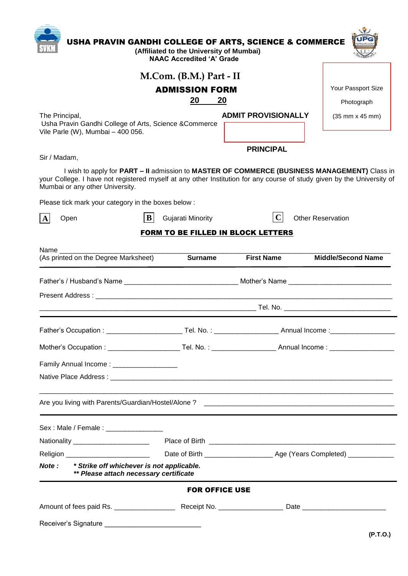|                       |                                                                                             | (Affiliated to the University of Mumbai)<br><b>NAAC Accredited 'A' Grade</b> | USHA PRAVIN GANDHI COLLEGE OF ARTS, SCIENCE & COMMERCE                                                                                                                                                                 |                                            |
|-----------------------|---------------------------------------------------------------------------------------------|------------------------------------------------------------------------------|------------------------------------------------------------------------------------------------------------------------------------------------------------------------------------------------------------------------|--------------------------------------------|
|                       |                                                                                             |                                                                              |                                                                                                                                                                                                                        |                                            |
| The Principal,        |                                                                                             | M.Com. (B.M.) Part - II                                                      |                                                                                                                                                                                                                        |                                            |
|                       | <b>ADMISSION FORM</b>                                                                       |                                                                              |                                                                                                                                                                                                                        | Your Passport Size                         |
|                       |                                                                                             | 20                                                                           | 20                                                                                                                                                                                                                     | Photograph                                 |
|                       | Usha Pravin Gandhi College of Arts, Science & Commerce<br>Vile Parle (W), Mumbai - 400 056. |                                                                              | <b>ADMIT PROVISIONALLY</b>                                                                                                                                                                                             | $(35 \, \text{mm} \times 45 \, \text{mm})$ |
|                       |                                                                                             |                                                                              | <b>PRINCIPAL</b>                                                                                                                                                                                                       |                                            |
| Sir / Madam,          |                                                                                             |                                                                              |                                                                                                                                                                                                                        |                                            |
|                       | Mumbai or any other University.                                                             |                                                                              | I wish to apply for PART - II admission to MASTER OF COMMERCE (BUSINESS MANAGEMENT) Class in<br>your College. I have not registered myself at any other Institution for any course of study given by the University of |                                            |
|                       | Please tick mark your category in the boxes below :                                         |                                                                              |                                                                                                                                                                                                                        |                                            |
| $\Lambda$<br>Open     | B                                                                                           | <b>Gujarati Minority</b>                                                     | $ {\bf C} $                                                                                                                                                                                                            | <b>Other Reservation</b>                   |
|                       |                                                                                             |                                                                              | FORM TO BE FILLED IN BLOCK LETTERS                                                                                                                                                                                     |                                            |
| Name                  |                                                                                             |                                                                              |                                                                                                                                                                                                                        |                                            |
|                       | (As printed on the Degree Marksheet)                                                        | <b>Surname</b>                                                               | <b>First Name</b>                                                                                                                                                                                                      | <b>Middle/Second Name</b>                  |
|                       |                                                                                             |                                                                              |                                                                                                                                                                                                                        |                                            |
|                       |                                                                                             |                                                                              |                                                                                                                                                                                                                        |                                            |
|                       |                                                                                             |                                                                              |                                                                                                                                                                                                                        |                                            |
|                       |                                                                                             |                                                                              |                                                                                                                                                                                                                        |                                            |
|                       |                                                                                             |                                                                              |                                                                                                                                                                                                                        |                                            |
| Father's Occupation : |                                                                                             |                                                                              | _ Tel. No. : _____________                                                                                                                                                                                             | Annual Income:                             |
|                       |                                                                                             |                                                                              |                                                                                                                                                                                                                        |                                            |
|                       |                                                                                             |                                                                              |                                                                                                                                                                                                                        |                                            |
|                       | Family Annual Income: __________________                                                    |                                                                              |                                                                                                                                                                                                                        |                                            |
|                       |                                                                                             |                                                                              |                                                                                                                                                                                                                        |                                            |
|                       |                                                                                             |                                                                              |                                                                                                                                                                                                                        |                                            |
|                       | Sex: Male / Female : ________________                                                       |                                                                              |                                                                                                                                                                                                                        |                                            |
|                       | Nationality ________________________                                                        |                                                                              |                                                                                                                                                                                                                        |                                            |
|                       | Religion __________________________                                                         |                                                                              |                                                                                                                                                                                                                        |                                            |
| <b>Note :</b>         | * Strike off whichever is not applicable.<br>** Please attach necessary certificate         |                                                                              |                                                                                                                                                                                                                        |                                            |
|                       |                                                                                             | <b>FOR OFFICE USE</b>                                                        |                                                                                                                                                                                                                        |                                            |
|                       |                                                                                             |                                                                              |                                                                                                                                                                                                                        |                                            |
|                       | Receiver's Signature _________________________________                                      |                                                                              |                                                                                                                                                                                                                        |                                            |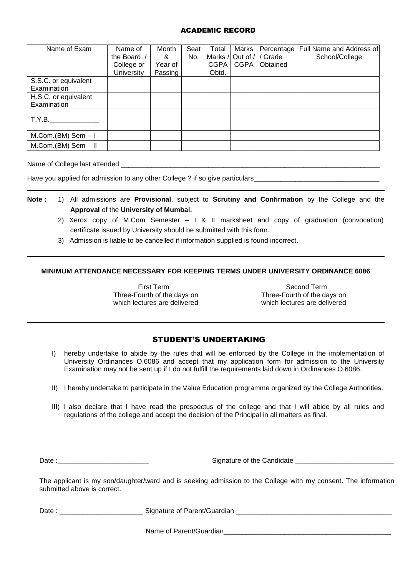## ACADEMIC RECORD

| Name of Exam          | Name of           | Month   | Seat | Total       | Marks       | Percentage               | Full Name and Address of |
|-----------------------|-------------------|---------|------|-------------|-------------|--------------------------|--------------------------|
|                       | the Board /       | &       | No.  |             |             | Marks / Out of / / Grade | School/College           |
|                       | College or        | Year of |      | <b>CGPA</b> | <b>CGPA</b> | Obtained                 |                          |
|                       | <b>University</b> | Passing |      | Obtd.       |             |                          |                          |
| S.S.C. or equivalent  |                   |         |      |             |             |                          |                          |
| Examination           |                   |         |      |             |             |                          |                          |
| H.S.C. or equivalent  |                   |         |      |             |             |                          |                          |
| Examination           |                   |         |      |             |             |                          |                          |
|                       |                   |         |      |             |             |                          |                          |
| T.Y.B.                |                   |         |      |             |             |                          |                          |
|                       |                   |         |      |             |             |                          |                          |
| $M.Com.(BM)$ Sem $-1$ |                   |         |      |             |             |                          |                          |
| $M.Com.(BM)$ Sem - II |                   |         |      |             |             |                          |                          |

Name of College last attended

Have you applied for admission to any other College ? if so give particulars

- **Note :** 1) All admissions are **Provisional**, subject to **Scrutiny and Confirmation** by the College and the **Approval** of the **University of Mumbai.**
	- 2) Xerox copy of M.Com Semester I & II marksheet and copy of graduation (convocation) certificate issued by University should be submitted with this form.
	- 3) Admission is liable to be cancelled if information supplied is found incorrect.

## **MINIMUM ATTENDANCE NECESSARY FOR KEEPING TERMS UNDER UNIVERSITY ORDINANCE 6086**

Three-Fourth of the days on Three-Fourth of the days on which lectures are delivered<br>which lectures are delivered which lectures are delivered which lectures are delivered

First Term Second Term<br>
Fourth of the days on Three-Fourth of the days on

## STUDENT'S UNDERTAKING

- I) hereby undertake to abide by the rules that will be enforced by the College in the implementation of University Ordinances O.6086 and accept that my application form for admission to the University Examination may not be sent up if I do not fulfill the requirements laid down in Ordinances O.6086.
- II) I hereby undertake to participate in the Value Education programme organized by the College Authorities.
- III) I also declare that I have read the prospectus of the college and that I will abide by all rules and regulations of the college and accept the decision of the Principal in all matters as final.

Date :\_\_\_\_\_\_\_\_\_\_\_\_\_\_\_\_\_\_\_\_\_\_\_\_ Signature of the Candidate \_\_\_\_\_\_\_\_\_\_\_\_\_\_\_\_\_\_\_\_\_\_\_\_\_\_

The applicant is my son/daughter/ward and is seeking admission to the College with my consent. The information submitted above is correct.

Date : \_\_\_\_\_\_\_\_\_\_\_\_\_\_\_\_\_\_\_\_\_\_ Signature of Parent/Guardian \_\_\_\_\_\_\_\_\_\_\_\_\_\_\_\_\_\_\_\_\_\_\_\_\_\_\_\_\_\_\_\_\_\_\_\_\_\_\_\_\_

Name of Parent/Guardian